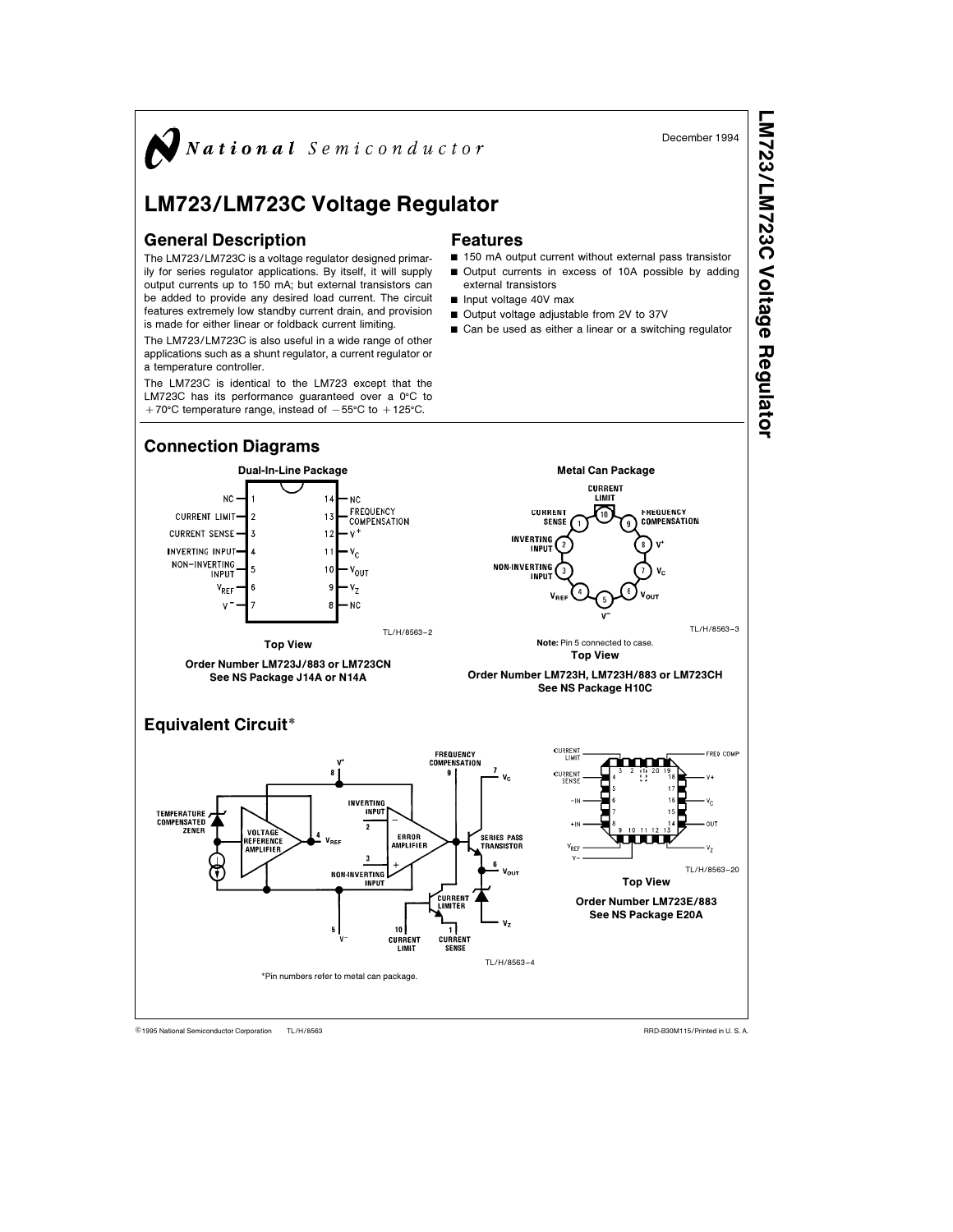

TL/H/8563 <sup>C</sup>1995 National Semiconductor Corporation RRD-B30M115/Printed in U. S. A.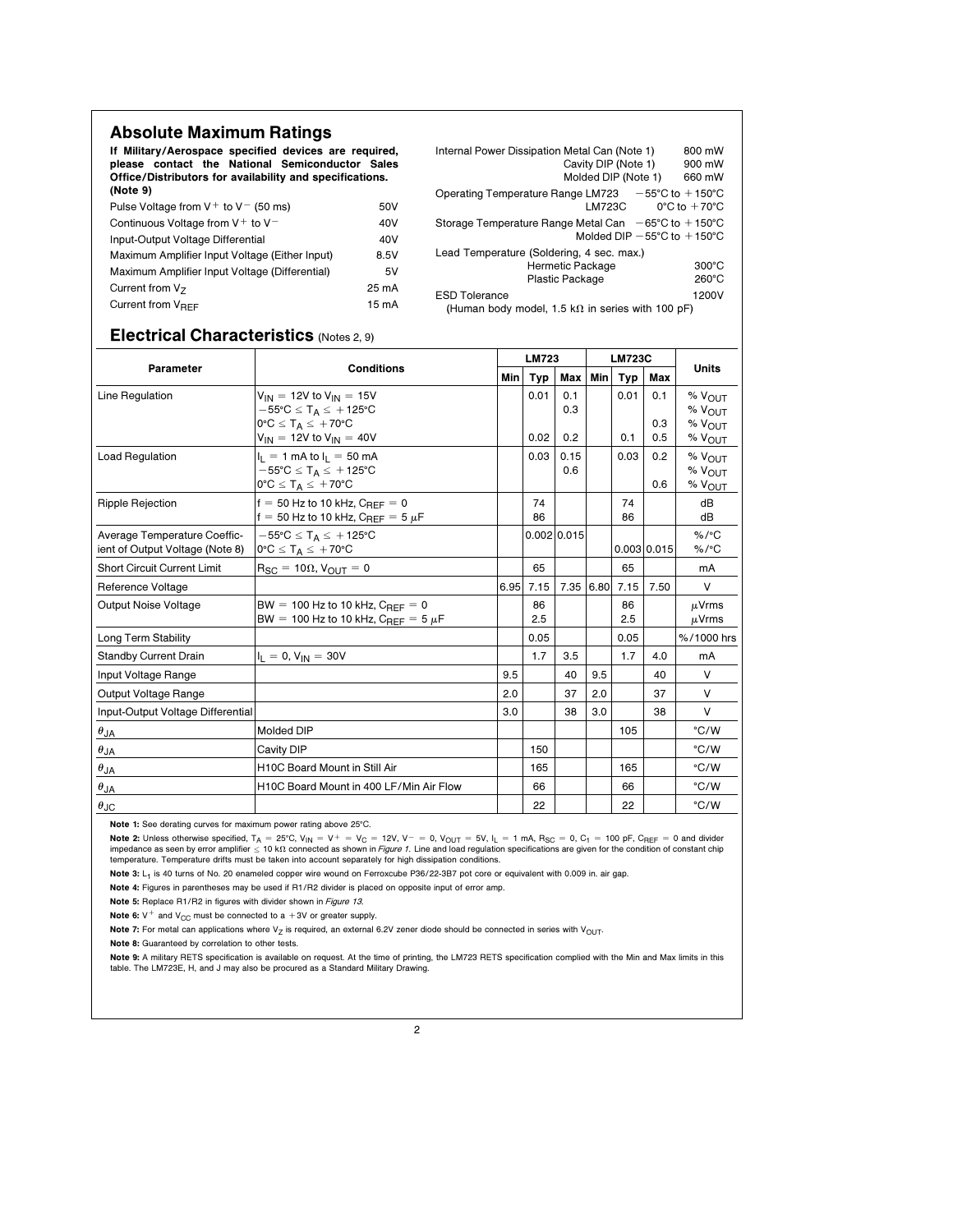## Absolute Maximum Ratings

If Military/Aerospace specified devices are required, please contact the National Semiconductor Sales Office/Distributors for availability and specifications. (Note 9)

| 50V               |
|-------------------|
| 40V               |
| 40V               |
| 8.5V              |
| 5V                |
| 25 mA             |
| 15 <sub>m</sub> A |
|                   |

| Internal Power Dissipation Metal Can (Note 1)                                                                             | 800 mW          |  |  |  |  |  |  |
|---------------------------------------------------------------------------------------------------------------------------|-----------------|--|--|--|--|--|--|
| Cavity DIP (Note 1)                                                                                                       | 900 mW          |  |  |  |  |  |  |
| Molded DIP (Note 1)                                                                                                       | 660 mW          |  |  |  |  |  |  |
| Operating Temperature Range LM723 $-55^{\circ}$ C to $+150^{\circ}$ C<br>LM723C<br>$0^{\circ}$ C to $+70^{\circ}$ C       |                 |  |  |  |  |  |  |
| Storage Temperature Range Metal Can $-65^{\circ}$ C to $+150^{\circ}$ C<br>Molded DIP $-55^{\circ}$ C to $+150^{\circ}$ C |                 |  |  |  |  |  |  |
| Lead Temperature (Soldering, 4 sec. max.)                                                                                 |                 |  |  |  |  |  |  |
| Hermetic Package                                                                                                          | $300^{\circ}$ C |  |  |  |  |  |  |
| Plastic Package                                                                                                           | 260°C           |  |  |  |  |  |  |
| <b>ESD Tolerance</b>                                                                                                      | 1200V           |  |  |  |  |  |  |
| (Human body model, 1.5 k $\Omega$ in series with 100 pF)                                                                  |                 |  |  |  |  |  |  |

## Electrical Characteristics (Notes 2, 9)

| Parameter                                                       |                                                                                                                                                                        | <b>LM723</b> |              |                   | <b>LM723C</b> |             |                   |                                                                      |
|-----------------------------------------------------------------|------------------------------------------------------------------------------------------------------------------------------------------------------------------------|--------------|--------------|-------------------|---------------|-------------|-------------------|----------------------------------------------------------------------|
|                                                                 | <b>Conditions</b>                                                                                                                                                      | Min          | <b>Typ</b>   | Max   Min         |               | Typ         | Max               | <b>Units</b>                                                         |
| Line Regulation                                                 | $V_{IN}$ = 12V to $V_{IN}$ = 15V<br>$-55^{\circ}$ C $\leq$ T <sub>A</sub> $\leq$ +125°C<br>$0^{\circ}C \leq T_A \leq +70^{\circ}C$<br>$V_{IN}$ = 12V to $V_{IN}$ = 40V |              | 0.01<br>0.02 | 0.1<br>0.3<br>0.2 |               | 0.01<br>0.1 | 0.1<br>0.3<br>0.5 | $%$ $V_{OIII}$<br>$%$ $V_{O I JT}$<br>$%$ $V_{OUT}$<br>$%$ $V_{OUT}$ |
| <b>Load Regulation</b>                                          | $I_1 = 1$ mA to $I_1 = 50$ mA<br>$-55^{\circ}$ C $\leq$ T <sub>A</sub> $\leq$ +125°C<br>$0^{\circ}C \leq T_A \leq +70^{\circ}C$                                        |              | 0.03         | 0.15<br>0.6       |               | 0.03        | 0.2<br>0.6        | % VOUT<br>% VOUT<br>% VOUT                                           |
| <b>Ripple Rejection</b>                                         | $f = 50$ Hz to 10 kHz, $C_{BFE} = 0$<br>$f = 50$ Hz to 10 kHz, $C_{BEF} = 5 \mu F$                                                                                     |              | 74<br>86     |                   |               | 74<br>86    |                   | dB<br>dB                                                             |
| Average Temperature Coeffic-<br>ient of Output Voltage (Note 8) | $-55^{\circ}$ C $\leq$ T <sub>A</sub> $\leq$ +125°C<br>$0^{\circ}C \leq T_A \leq +70^{\circ}C$                                                                         |              |              | 0.002 0.015       |               |             | 0.003 0.015       | $%$ /°C<br>$%$ /°C                                                   |
| <b>Short Circuit Current Limit</b>                              | $R_{SC} = 10\Omega$ , $V_{OUT} = 0$                                                                                                                                    |              | 65           |                   |               | 65          |                   | mA                                                                   |
| Reference Voltage                                               |                                                                                                                                                                        | 6.95         | 7.15         | 7.35 6.80         |               | 7.15        | 7.50              | $\vee$                                                               |
| <b>Output Noise Voltage</b>                                     | BW = 100 Hz to 10 kHz, $C_{BFF} = 0$<br>BW = 100 Hz to 10 kHz, $C_{REF} = 5 \mu F$                                                                                     |              | 86<br>2.5    |                   |               | 86<br>2.5   |                   | $\mu$ Vrms<br>$\mu$ Vrms                                             |
| Long Term Stability                                             |                                                                                                                                                                        |              | 0.05         |                   |               | 0.05        |                   | %/1000 hrs                                                           |
| <b>Standby Current Drain</b>                                    | $I_L = 0, V_{IN} = 30V$                                                                                                                                                |              | 1.7          | 3.5               |               | 1.7         | 4.0               | mA                                                                   |
| Input Voltage Range                                             |                                                                                                                                                                        | 9.5          |              | 40                | 9.5           |             | 40                | $\vee$                                                               |
| Output Voltage Range                                            |                                                                                                                                                                        | 2.0          |              | 37                | 2.0           |             | 37                | $\vee$                                                               |
| Input-Output Voltage Differential                               |                                                                                                                                                                        | 3.0          |              | 38                | 3.0           |             | 38                | V                                                                    |
| $\theta_{JA}$                                                   | Molded DIP                                                                                                                                                             |              |              |                   |               | 105         |                   | °C/W                                                                 |
| $\theta_{JA}$                                                   | Cavity DIP                                                                                                                                                             |              | 150          |                   |               |             |                   | °C/W                                                                 |
| $\theta_{JA}$                                                   | H10C Board Mount in Still Air                                                                                                                                          |              | 165          |                   |               | 165         |                   | °C/W                                                                 |
| $\theta_{JA}$                                                   | H10C Board Mount in 400 LF/Min Air Flow                                                                                                                                |              | 66           |                   |               | 66          |                   | °C/W                                                                 |
| $\theta$ JC                                                     |                                                                                                                                                                        |              | 22           |                   |               | 22          |                   | °C/W                                                                 |

Note 1: See derating curves for maximum power rating above 25°C.

Note 2: Unless otherwise specified,  $T_A = 25^{\circ}$ C, V<sub>IN</sub> = V<sup>+</sup> = V<sub>C</sub> = 12V, V<sup>-</sup> = 0, V<sub>OUT</sub> = 5V, I<sub>L</sub> = 1 mA, R<sub>SC</sub> = 0, C<sub>1</sub> = 100 pF, C<sub>REF</sub> = 0 and divider impedance as seen by error amplifier  $\leq 10$  k $\Omega$  connected as shown in Figure 1. Line and load regulation specifications are given for the condition of constant chip temperature. Temperature drifts must be taken into account separately for high dissipation conditions.

Note 3: L<sub>1</sub> is 40 turns of No. 20 enameled copper wire wound on Ferroxcube P36/22-3B7 pot core or equivalent with 0.009 in. air gap.

Note 4: Figures in parentheses may be used if R1/R2 divider is placed on opposite input of error amp.

Note 5: Replace R1/R2 in figures with divider shown in Figure 13.

Note 6:  $V^+$  and  $V_{CC}$  must be connected to a +3V or greater supply.

Note 7: For metal can applications where V<sub>Z</sub> is required, an external 6.2V zener diode should be connected in series with V<sub>OUT</sub>.

Note 8: Guaranteed by correlation to other tests.

Note 9: A military RETS specification is available on request. At the time of printing, the LM723 RETS specification complied with the Min and Max limits in this table. The LM723E, H, and J may also be procured as a Standard Military Drawing.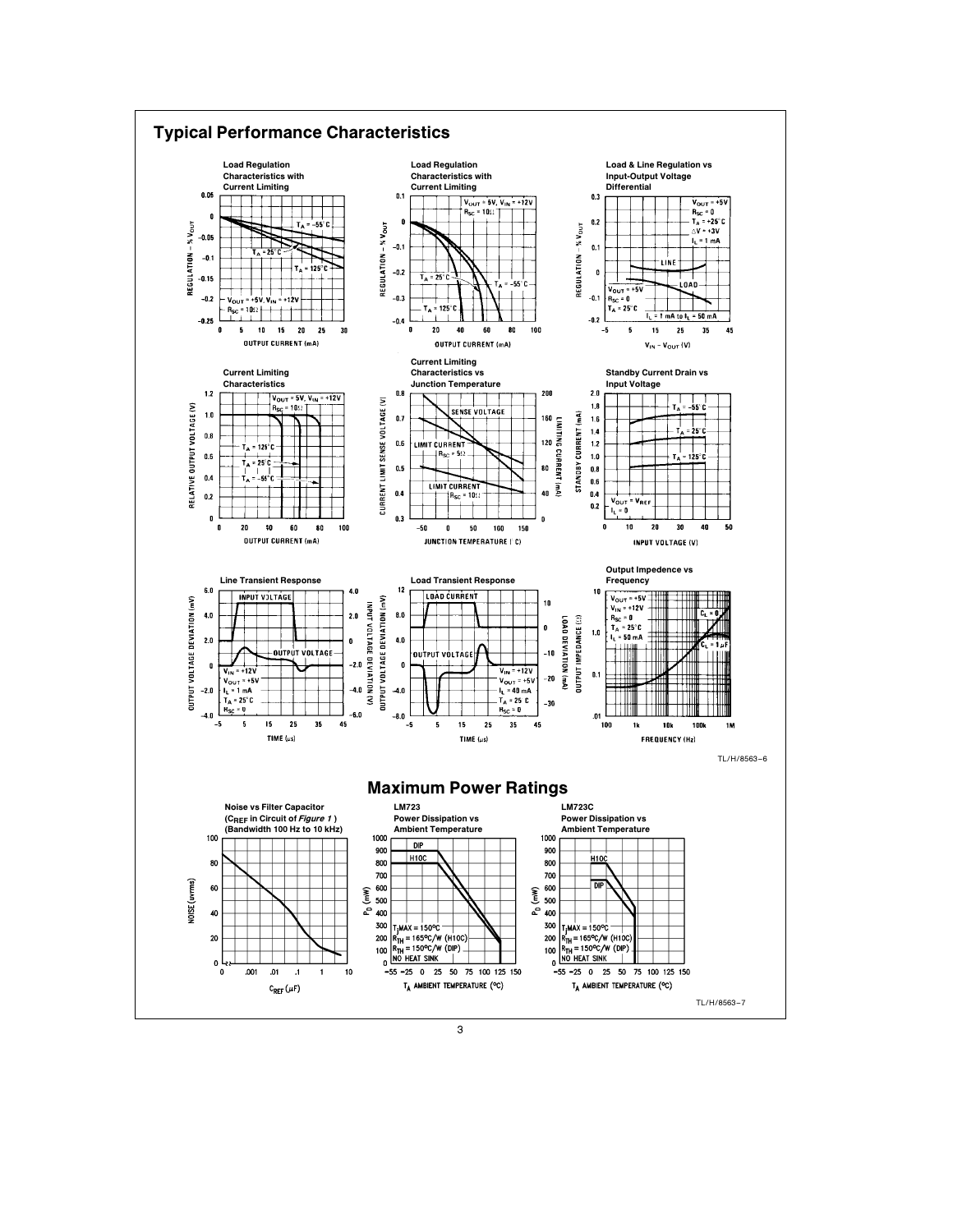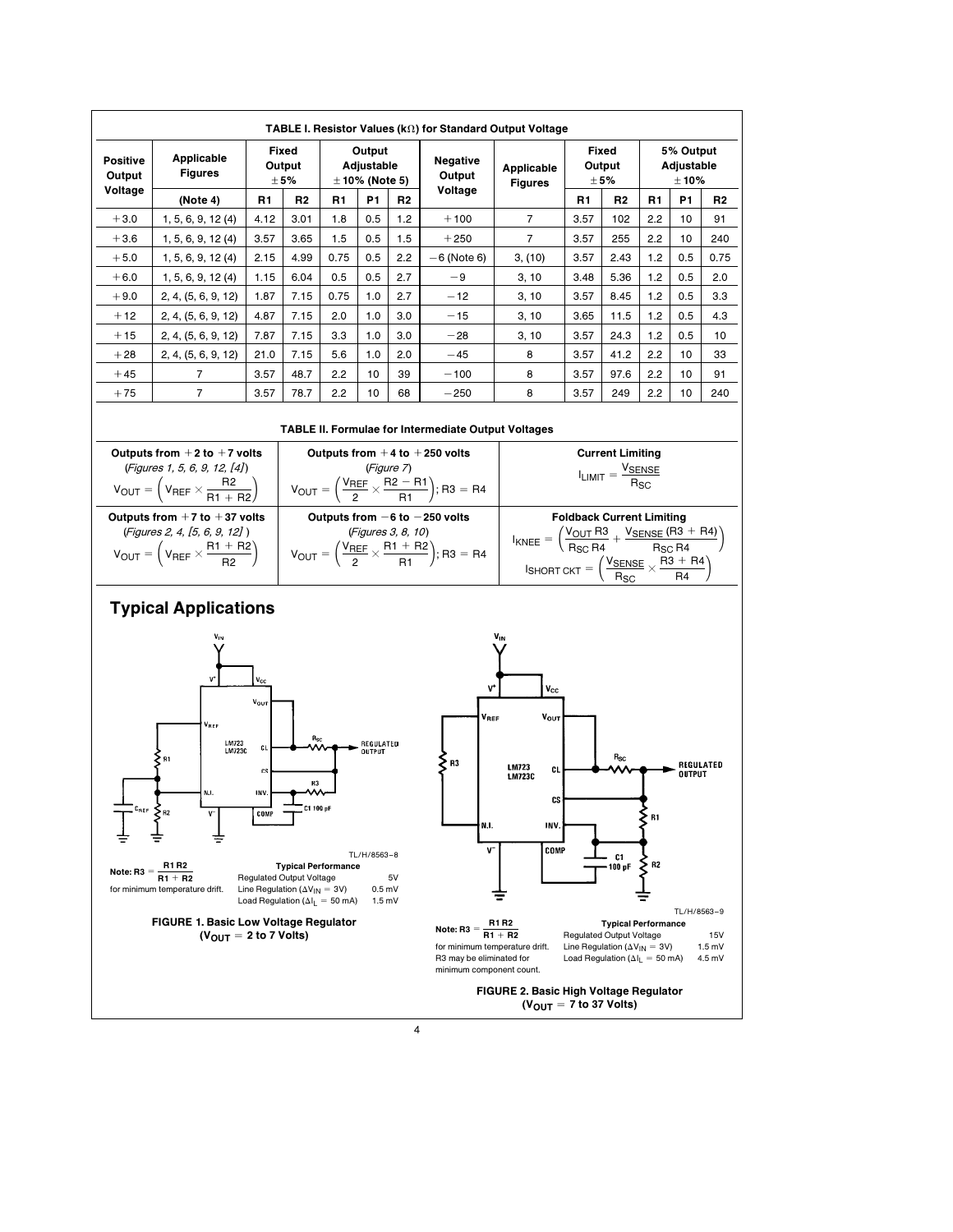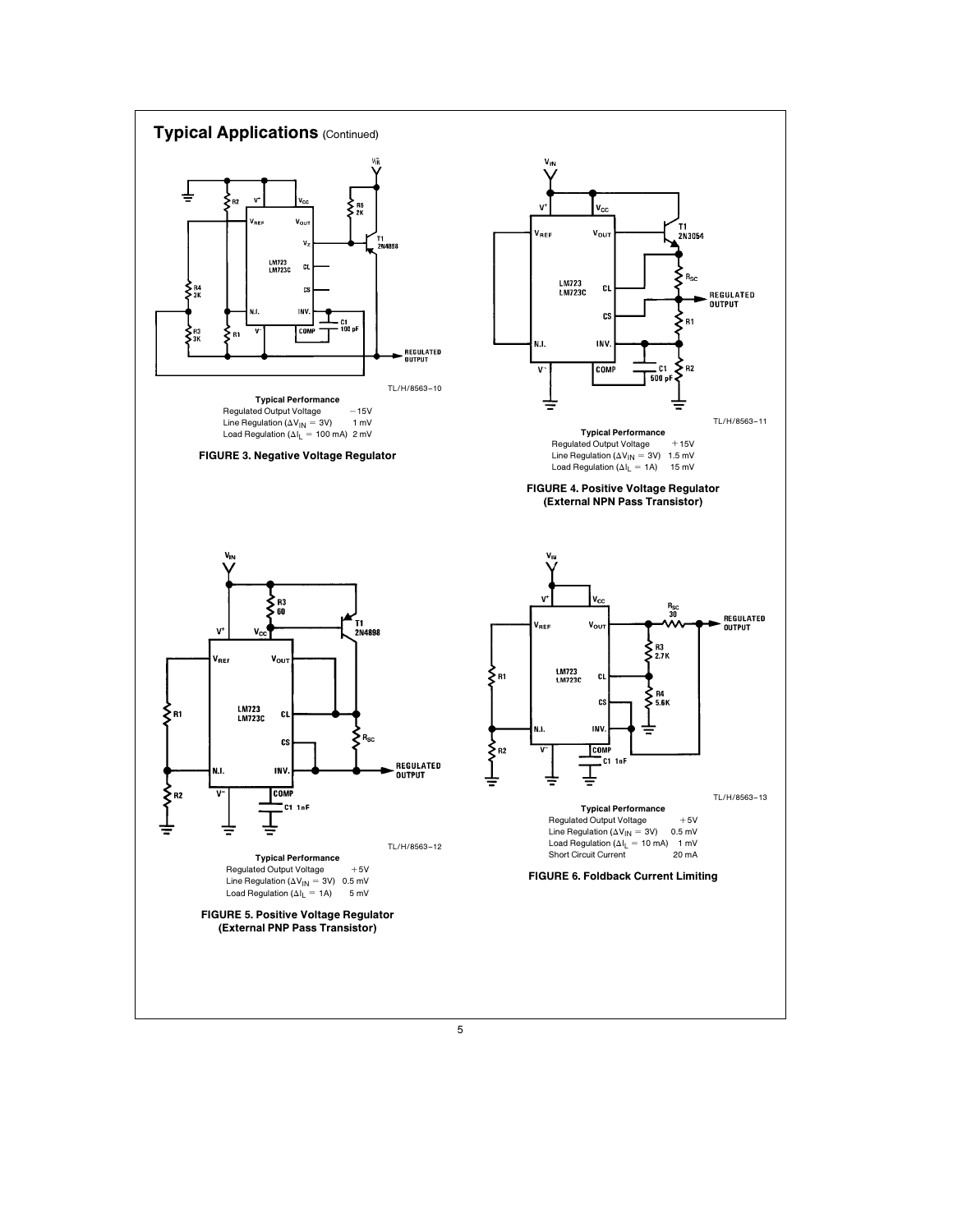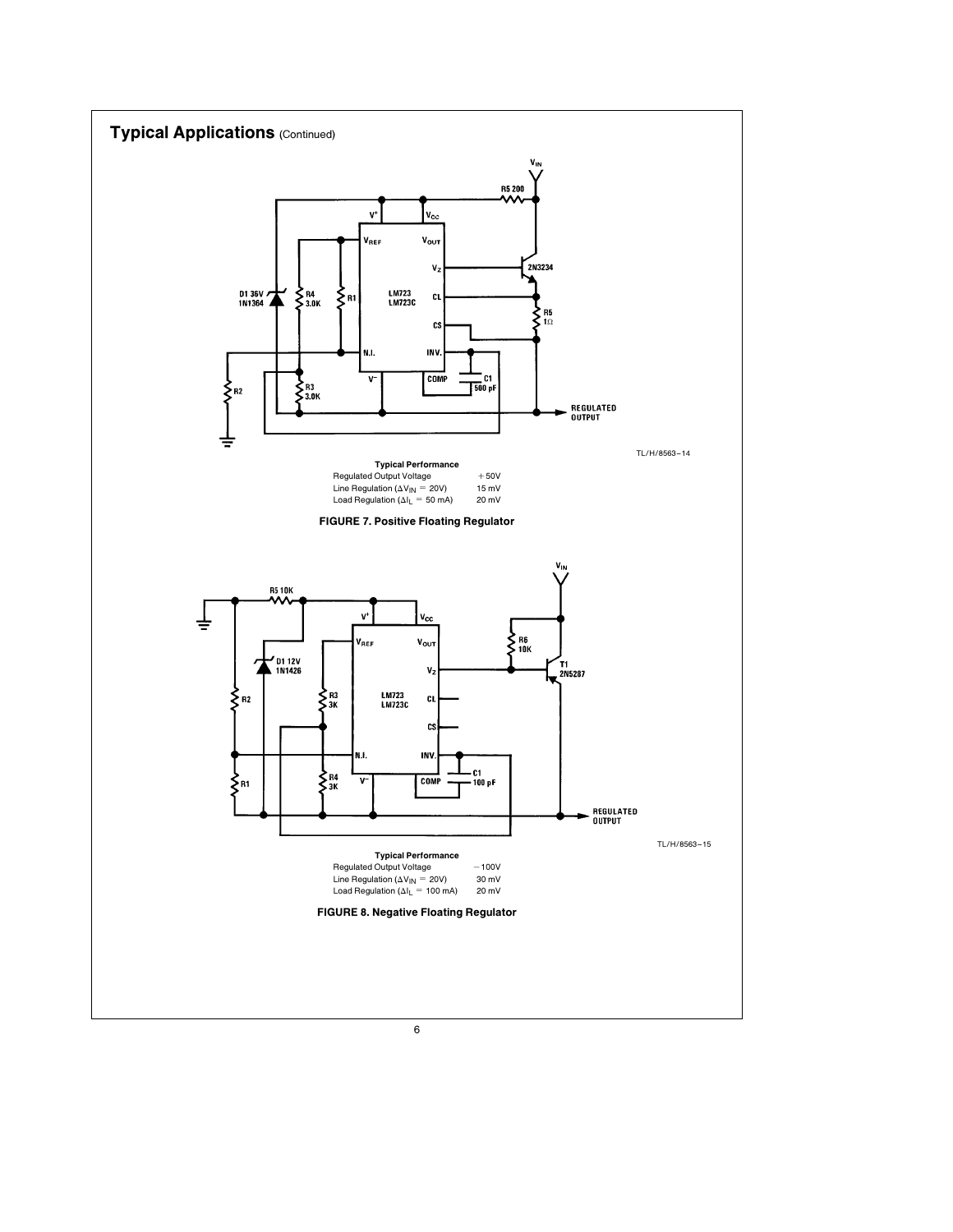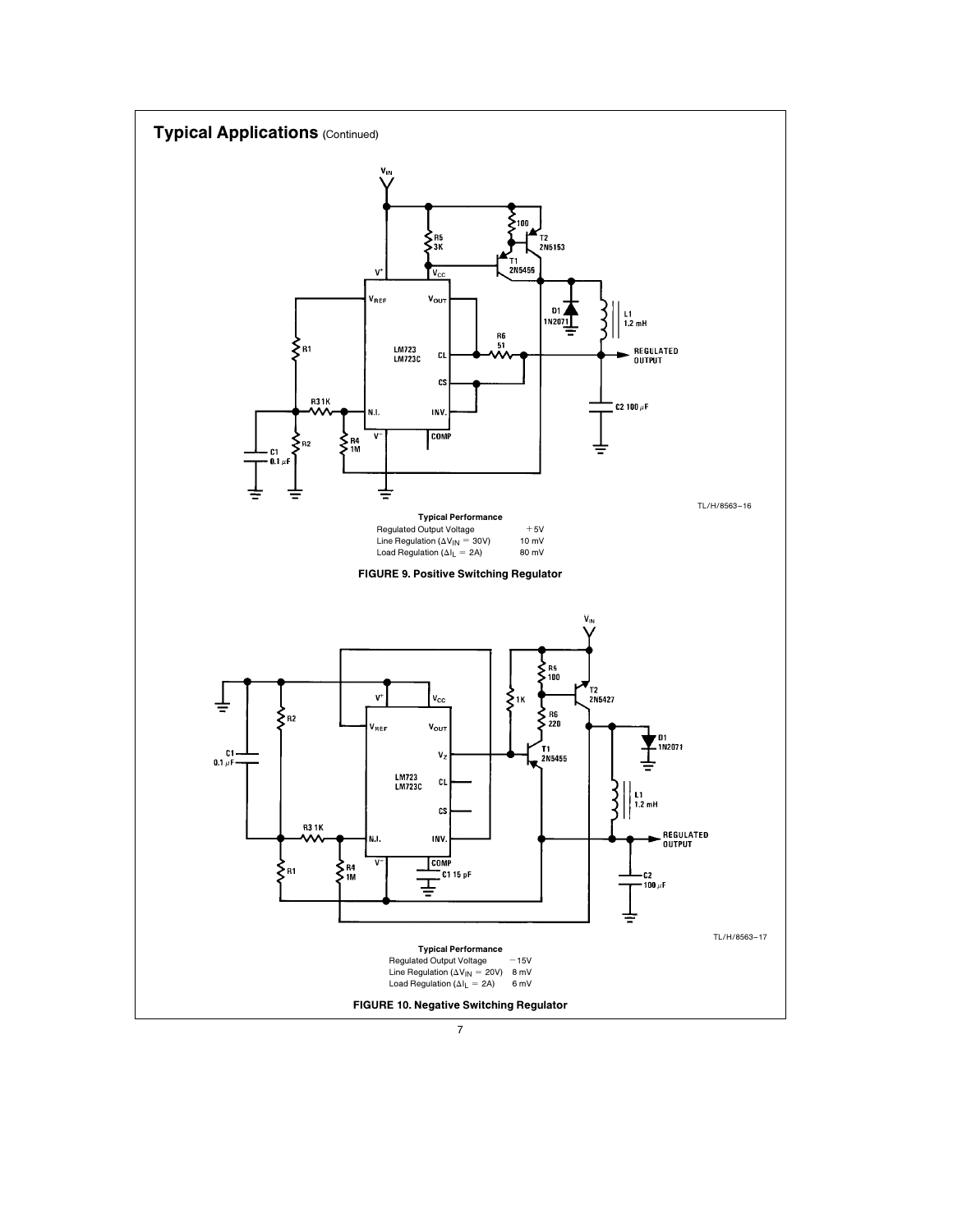

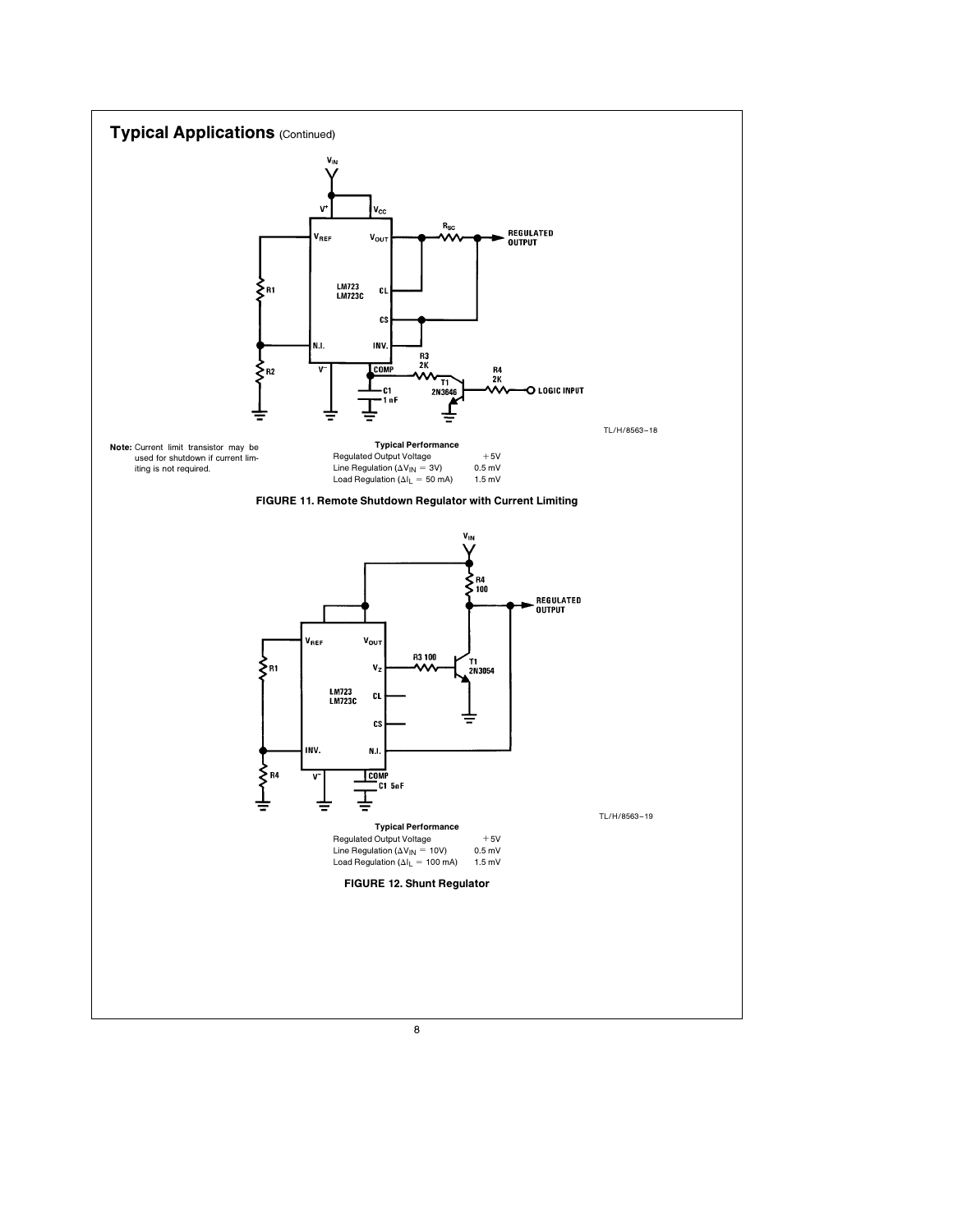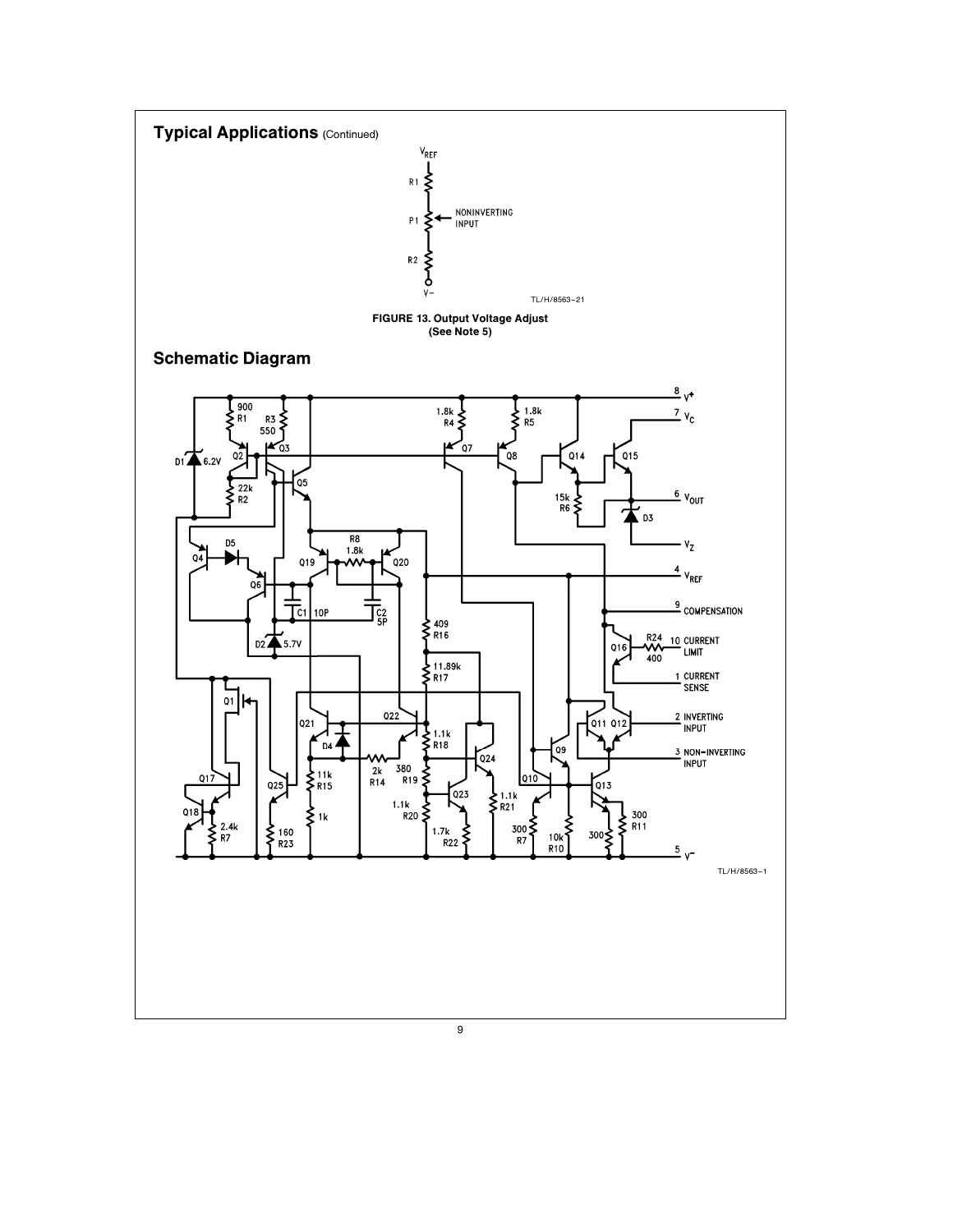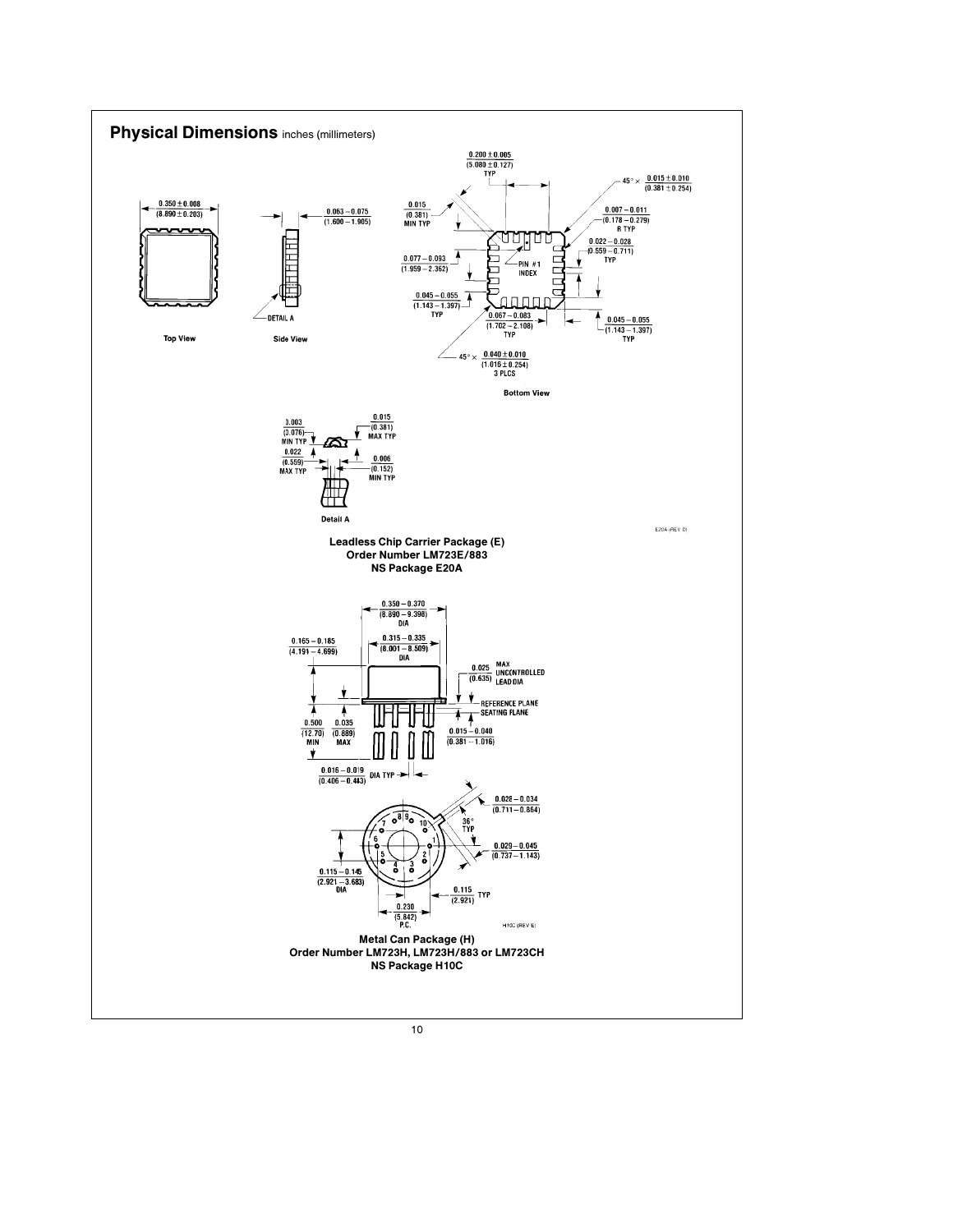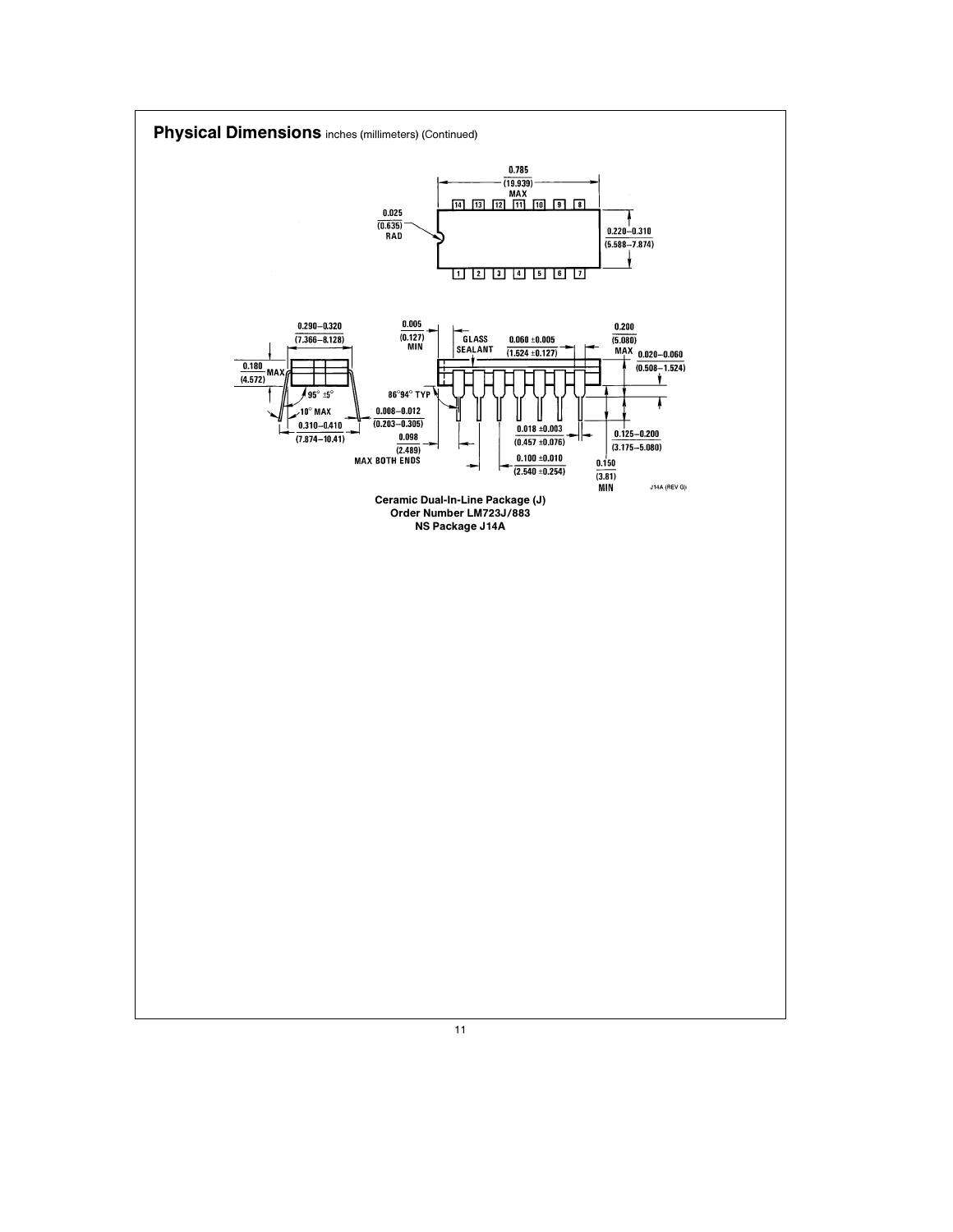